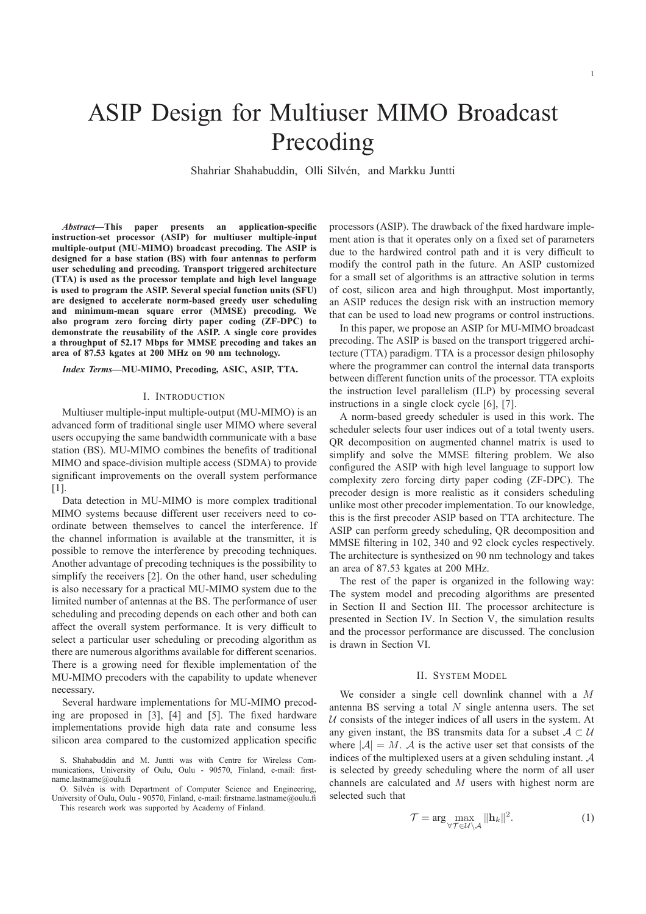# ASIP Design for Multiuser MIMO Broadcast Precoding

Shahriar Shahabuddin, Olli Silvén, and Markku Juntti

*Abstract***—This paper presents an application-specific instruction-set processor (ASIP) for multiuser multiple-input multiple-output (MU-MIMO) broadcast precoding. The ASIP is designed for a base station (BS) with four antennas to perform user scheduling and precoding. Transport triggered architecture (TTA) is used as the processor template and high level language is used to program the ASIP. Several special function units (SFU) are designed to accelerate norm-based greedy user scheduling and minimum-mean square error (MMSE) precoding. We also program zero forcing dirty paper coding (ZF-DPC) to demonstrate the reusability of the ASIP. A single core provides a throughput of 52.17 Mbps for MMSE precoding and takes an area of 87.53 kgates at 200 MHz on 90 nm technology.**

#### *Index Terms***—MU-MIMO, Precoding, ASIC, ASIP, TTA.**

## I. INTRODUCTION

Multiuser multiple-input multiple-output (MU-MIMO) is an advanced form of traditional single user MIMO where several users occupying the same bandwidth communicate with a base station (BS). MU-MIMO combines the benefits of traditional MIMO and space-division multiple access (SDMA) to provide significant improvements on the overall system performance [1].

Data detection in MU-MIMO is more complex traditional MIMO systems because different user receivers need to coordinate between themselves to cancel the interference. If the channel information is available at the transmitter, it is possible to remove the interference by precoding techniques. Another advantage of precoding techniques is the possibility to simplify the receivers [2]. On the other hand, user scheduling is also necessary for a practical MU-MIMO system due to the limited number of antennas at the BS. The performance of user scheduling and precoding depends on each other and both can affect the overall system performance. It is very difficult to select a particular user scheduling or precoding algorithm as there are numerous algorithms available for different scenarios. There is a growing need for flexible implementation of the MU-MIMO precoders with the capability to update whenever necessary.

Several hardware implementations for MU-MIMO precoding are proposed in [3], [4] and [5]. The fixed hardware implementations provide high data rate and consume less silicon area compared to the customized application specific

This research work was supported by Academy of Finland.

processors (ASIP). The drawback of the fixed hardware implement ation is that it operates only on a fixed set of parameters due to the hardwired control path and it is very difficult to modify the control path in the future. An ASIP customized for a small set of algorithms is an attractive solution in terms of cost, silicon area and high throughput. Most importantly, an ASIP reduces the design risk with an instruction memory that can be used to load new programs or control instructions.

In this paper, we propose an ASIP for MU-MIMO broadcast precoding. The ASIP is based on the transport triggered architecture (TTA) paradigm. TTA is a processor design philosophy where the programmer can control the internal data transports between different function units of the processor. TTA exploits the instruction level parallelism (ILP) by processing several instructions in a single clock cycle [6], [7].

A norm-based greedy scheduler is used in this work. The scheduler selects four user indices out of a total twenty users. QR decomposition on augmented channel matrix is used to simplify and solve the MMSE filtering problem. We also configured the ASIP with high level language to support low complexity zero forcing dirty paper coding (ZF-DPC). The precoder design is more realistic as it considers scheduling unlike most other precoder implementation. To our knowledge, this is the first precoder ASIP based on TTA architecture. The ASIP can perform greedy scheduling, QR decomposition and MMSE filtering in 102, 340 and 92 clock cycles respectively. The architecture is synthesized on 90 nm technology and takes an area of 87.53 kgates at 200 MHz.

The rest of the paper is organized in the following way: The system model and precoding algorithms are presented in Section II and Section III. The processor architecture is presented in Section IV. In Section V, the simulation results and the processor performance are discussed. The conclusion is drawn in Section VI.

### II. SYSTEM MODEL

We consider a single cell downlink channel with a M antenna BS serving a total  $N$  single antenna users. The set  $U$  consists of the integer indices of all users in the system. At any given instant, the BS transmits data for a subset  $A \subset U$ where  $|\mathcal{A}| = M$ . A is the active user set that consists of the indices of the multiplexed users at a given schduling instant. A is selected by greedy scheduling where the norm of all user channels are calculated and M users with highest norm are selected such that

$$
\mathcal{T} = \arg \max_{\forall \mathcal{T} \in \mathcal{U} \setminus \mathcal{A}} \|\mathbf{h}_k\|^2. \tag{1}
$$

S. Shahabuddin and M. Juntti was with Centre for Wireless Communications, University of Oulu, Oulu - 90570, Finland, e-mail: firstname.lastname@oulu.fi

O. Silvén is with Department of Computer Science and Engineering, University of Oulu, Oulu - 90570, Finland, e-mail: firstname.lastname@oulu.fi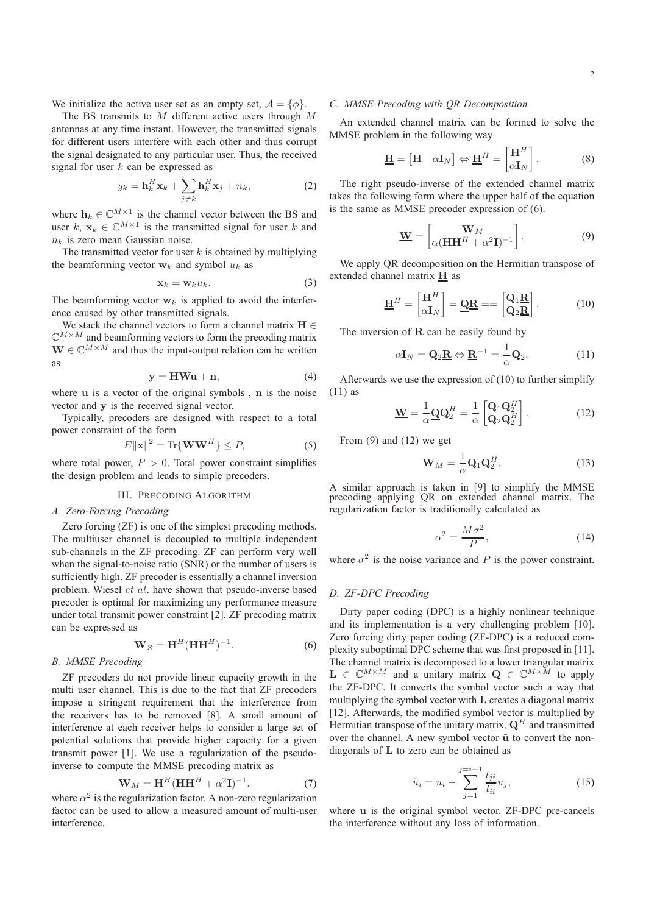We initialize the active user set as an empty set,  $A = \{\phi\}$ .

The BS transmits to  $M$  different active users through  $M$ antennas at any time instant. However, the transmitted signals for different users interfere with each other and thus corrupt the signal designated to any particular user. Thus, the received signal for user  $k$  can be expressed as

$$
y_k = \mathbf{h}_k^H \mathbf{x}_k + \sum_{j \neq k} \mathbf{h}_k^H \mathbf{x}_j + n_k,
$$
 (2)

where  $\mathbf{h}_k \in \mathbb{C}^{M \times 1}$  is the channel vector between the BS and user  $k, \mathbf{x}_k \in \mathbb{C}^{M \times 1}$  is the transmitted signal for user k and  $n_k$  is zero mean Gaussian noise.

The transmitted vector for user  $k$  is obtained by multiplying the beamforming vector  $w_k$  and symbol  $u_k$  as

$$
\mathbf{x}_k = \mathbf{w}_k u_k. \tag{3}
$$

The beamforming vector  $w_k$  is applied to avoid the interference caused by other transmitted signals.

We stack the channel vectors to form a channel matrix  $H \in$  $\mathbb{C}^{M \times M}$  and beamforming vectors to form the precoding matrix  $\mathbf{W} \in \mathbb{C}^{M \times M}$  and thus the input-output relation can be written as

$$
y = HWu + n,\t\t(4)
$$

where **u** is a vector of the original symbols, **n** is the noise vector and y is the received signal vector.

Typically, precoders are designed with respect to a total power constraint of the form

$$
E\|\mathbf{x}\|^2 = \text{Tr}\{\mathbf{W}\mathbf{W}^H\} \le P,\tag{5}
$$

where total power,  $P > 0$ . Total power constraint simplifies the design problem and leads to simple precoders.

# III. PRECODING ALGORITHM

# *A. Zero-Forcing Precoding*

Zero forcing (ZF) is one of the simplest precoding methods. The multiuser channel is decoupled to multiple independent sub-channels in the ZF precoding. ZF can perform very well when the signal-to-noise ratio (SNR) or the number of users is sufficiently high. ZF precoder is essentially a channel inversion problem. Wiesel et al. have shown that pseudo-inverse based precoder is optimal for maximizing any performance measure under total transmit power constraint [2]. ZF precoding matrix can be expressed as

$$
\mathbf{W}_Z = \mathbf{H}^H (\mathbf{H} \mathbf{H}^H)^{-1}.
$$
 (6)

# *B. MMSE Precoding*

ZF precoders do not provide linear capacity growth in the multi user channel. This is due to the fact that ZF precoders impose a stringent requirement that the interference from the receivers has to be removed [8]. A small amount of interference at each receiver helps to consider a large set of potential solutions that provide higher capacity for a given transmit power [1]. We use a regularization of the pseudoinverse to compute the MMSE precoding matrix as

$$
\mathbf{W}_M = \mathbf{H}^H (\mathbf{H}\mathbf{H}^H + \alpha^2 \mathbf{I})^{-1}.
$$
 (7)

where  $\alpha^2$  is the regularization factor. A non-zero regularization factor can be used to allow a measured amount of multi-user interference.

# *C. MMSE Precoding with QR Decomposition*

An extended channel matrix can be formed to solve the MMSE problem in the following way

$$
\underline{\mathbf{H}} = \begin{bmatrix} \mathbf{H} & \alpha \mathbf{I}_N \end{bmatrix} \Leftrightarrow \underline{\mathbf{H}}^H = \begin{bmatrix} \mathbf{H}^H \\ \alpha \mathbf{I}_N \end{bmatrix} . \tag{8}
$$

The right pseudo-inverse of the extended channel matrix takes the following form where the upper half of the equation is the same as MMSE precoder expression of (6).

$$
\mathbf{\underline{W}} = \begin{bmatrix} \mathbf{W}_M \\ \alpha (\mathbf{H} \mathbf{H}^H + \alpha^2 \mathbf{I})^{-1} \end{bmatrix} . \tag{9}
$$

We apply QR decomposition on the Hermitian transpose of extended channel matrix  $H$  as

$$
\underline{\mathbf{H}}^{H} = \begin{bmatrix} \mathbf{H}^{H} \\ \alpha \mathbf{I}_{N} \end{bmatrix} = \underline{\mathbf{Q}} \underline{\mathbf{R}} = = \begin{bmatrix} \mathbf{Q}_{1} \underline{\mathbf{R}} \\ \mathbf{Q}_{2} \underline{\mathbf{R}} \end{bmatrix}.
$$
 (10)

The inversion of  **can be easily found by** 

$$
\alpha \mathbf{I}_N = \mathbf{Q}_2 \mathbf{R} \Leftrightarrow \mathbf{R}^{-1} = \frac{1}{\alpha} \mathbf{Q}_2.
$$
 (11)

Afterwards we use the expression of (10) to further simplify (11) as

$$
\underline{\mathbf{W}} = \frac{1}{\alpha} \underline{\mathbf{Q}} \mathbf{Q}_2^H = \frac{1}{\alpha} \begin{bmatrix} \mathbf{Q}_1 \mathbf{Q}_2^H \\ \mathbf{Q}_2 \mathbf{Q}_2^H \end{bmatrix} . \tag{12}
$$

From (9) and (12) we get

$$
\mathbf{W}_M = \frac{1}{\alpha} \mathbf{Q}_1 \mathbf{Q}_2^H.
$$
 (13)

A similar approach is taken in [9] to simplify the MMSE precoding applying QR on extended channel matrix. The regularization factor is traditionally calculated as

$$
\alpha^2 = \frac{M\sigma^2}{P},\tag{14}
$$

where  $\sigma^2$  is the noise variance and P is the power constraint.

## *D. ZF-DPC Precoding*

Dirty paper coding (DPC) is a highly nonlinear technique and its implementation is a very challenging problem [10]. Zero forcing dirty paper coding (ZF-DPC) is a reduced complexity suboptimal DPC scheme that was first proposed in [11]. The channel matrix is decomposed to a lower triangular matrix  $L \in \mathbb{C}^{M \times M}$  and a unitary matrix  $\mathbf{Q} \in \mathbb{C}^{M \times \tilde{M}}$  to apply the ZF-DPC. It converts the symbol vector such a way that multiplying the symbol vector with L creates a diagonal matrix [12]. Afterwards, the modified symbol vector is multiplied by Hermitian transpose of the unitary matrix,  $\mathbf{Q}^{H}$  and transmitted over the channel. A new symbol vector  $\tilde{u}$  to convert the nondiagonals of L to zero can be obtained as

$$
\tilde{u}_i = u_i - \sum_{j=1}^{j=i-1} \frac{l_{ji}}{l_{ii}} u_j,
$$
\n(15)

where u is the original symbol vector. ZF-DPC pre-cancels the interference without any loss of information.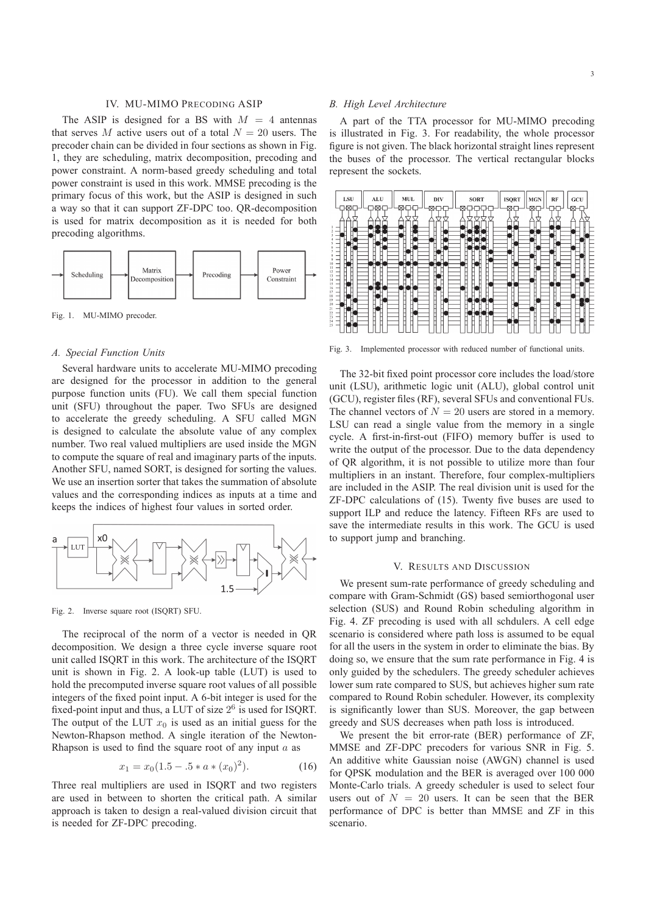## IV. MU-MIMO PRECODING ASIP

The ASIP is designed for a BS with  $M = 4$  antennas that serves M active users out of a total  $N = 20$  users. The precoder chain can be divided in four sections as shown in Fig. 1, they are scheduling, matrix decomposition, precoding and power constraint. A norm-based greedy scheduling and total power constraint is used in this work. MMSE precoding is the primary focus of this work, but the ASIP is designed in such a way so that it can support ZF-DPC too. QR-decomposition is used for matrix decomposition as it is needed for both precoding algorithms.



Fig. 1. MU-MIMO precoder.

#### *A. Special Function Units*

Several hardware units to accelerate MU-MIMO precoding are designed for the processor in addition to the general purpose function units (FU). We call them special function unit (SFU) throughout the paper. Two SFUs are designed to accelerate the greedy scheduling. A SFU called MGN is designed to calculate the absolute value of any complex number. Two real valued multipliers are used inside the MGN to compute the square of real and imaginary parts of the inputs. Another SFU, named SORT, is designed for sorting the values. We use an insertion sorter that takes the summation of absolute values and the corresponding indices as inputs at a time and keeps the indices of highest four values in sorted order.



Fig. 2. Inverse square root (ISQRT) SFU.

The reciprocal of the norm of a vector is needed in QR decomposition. We design a three cycle inverse square root unit called ISQRT in this work. The architecture of the ISQRT unit is shown in Fig. 2. A look-up table (LUT) is used to hold the precomputed inverse square root values of all possible integers of the fixed point input. A 6-bit integer is used for the fixed-point input and thus, a LUT of size  $2^6$  is used for ISQRT. The output of the LUT  $x_0$  is used as an initial guess for the Newton-Rhapson method. A single iteration of the Newton-Rhapson is used to find the square root of any input  $a$  as

$$
x_1 = x_0(1.5 - .5 * a * (x_0)^2). \tag{16}
$$

Three real multipliers are used in ISQRT and two registers are used in between to shorten the critical path. A similar approach is taken to design a real-valued division circuit that is needed for ZF-DPC precoding.

## *B. High Level Architecture*

A part of the TTA processor for MU-MIMO precoding is illustrated in Fig. 3. For readability, the whole processor figure is not given. The black horizontal straight lines represent the buses of the processor. The vertical rectangular blocks represent the sockets.



Fig. 3. Implemented processor with reduced number of functional units.

The 32-bit fixed point processor core includes the load/store unit (LSU), arithmetic logic unit (ALU), global control unit (GCU), register files (RF), several SFUs and conventional FUs. The channel vectors of  $N = 20$  users are stored in a memory. LSU can read a single value from the memory in a single cycle. A first-in-first-out (FIFO) memory buffer is used to write the output of the processor. Due to the data dependency of QR algorithm, it is not possible to utilize more than four multipliers in an instant. Therefore, four complex-multipliers are included in the ASIP. The real division unit is used for the ZF-DPC calculations of (15). Twenty five buses are used to support ILP and reduce the latency. Fifteen RFs are used to save the intermediate results in this work. The GCU is used to support jump and branching.

## V. RESULTS AND DISCUSSION

We present sum-rate performance of greedy scheduling and compare with Gram-Schmidt (GS) based semiorthogonal user selection (SUS) and Round Robin scheduling algorithm in Fig. 4. ZF precoding is used with all schdulers. A cell edge scenario is considered where path loss is assumed to be equal for all the users in the system in order to eliminate the bias. By doing so, we ensure that the sum rate performance in Fig. 4 is only guided by the schedulers. The greedy scheduler achieves lower sum rate compared to SUS, but achieves higher sum rate compared to Round Robin scheduler. However, its complexity is significantly lower than SUS. Moreover, the gap between greedy and SUS decreases when path loss is introduced.

We present the bit error-rate (BER) performance of ZF, MMSE and ZF-DPC precoders for various SNR in Fig. 5. An additive white Gaussian noise (AWGN) channel is used for QPSK modulation and the BER is averaged over 100 000 Monte-Carlo trials. A greedy scheduler is used to select four users out of  $N = 20$  users. It can be seen that the BER performance of DPC is better than MMSE and ZF in this scenario.